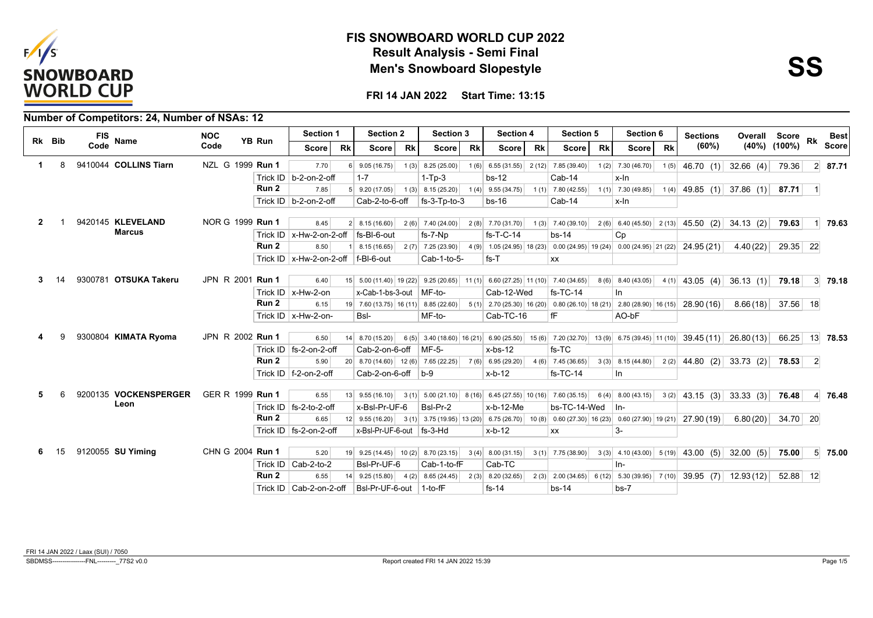



|              |        |            | <b>Number of Competitors: 24, Number of NSAs: 12</b> |                  |                  |                                           |           |                                                                                                                      |           |                     |           |                                         |           |                        |           |                     |           |                                                                                                               |               |                    |           |                |
|--------------|--------|------------|------------------------------------------------------|------------------|------------------|-------------------------------------------|-----------|----------------------------------------------------------------------------------------------------------------------|-----------|---------------------|-----------|-----------------------------------------|-----------|------------------------|-----------|---------------------|-----------|---------------------------------------------------------------------------------------------------------------|---------------|--------------------|-----------|----------------|
|              | Rk Bib | <b>FIS</b> | <b>Name</b>                                          | <b>NOC</b>       | YB Run           | Section 1                                 |           | <b>Section 2</b>                                                                                                     |           | <b>Section 3</b>    |           | <b>Section 4</b>                        |           | Section 5              |           | Section 6           |           | <b>Sections</b>                                                                                               | Overall Score |                    | Rk        | <b>Best</b>    |
|              |        | Code       |                                                      | Code             |                  | Score l                                   | <b>Rk</b> | <b>Score</b>                                                                                                         | <b>Rk</b> | Score               | <b>Rk</b> | Score l                                 | <b>Rk</b> | <b>Score</b>           | <b>Rk</b> | Score l             | <b>Rk</b> | (60%)                                                                                                         |               | $(40\%)$ $(100\%)$ |           | <b>Score</b>   |
| 1            | 8      |            | 9410044 COLLINS Tiarn                                | NZL G 1999 Run 1 |                  | 7.70                                      | $6 \mid$  | 9.05(16.75)                                                                                                          |           | $1(3)$ 8.25 (25.00) |           | $1(6)$ 6.55 (31.55) 2 (12) 7.85 (39.40) |           |                        |           | $1(2)$ 7.30 (46.70) |           | $1(5)$ 46.70 (1)                                                                                              | 32.66(4)      | 79.36              |           | $2 \mid 87.71$ |
|              |        |            |                                                      |                  |                  | Trick ID   b-2-on-2-off                   |           | $1 - 7$                                                                                                              |           | $1-Tp-3$            |           | $bs-12$                                 |           | Cab-14                 |           | x-In                |           |                                                                                                               |               |                    |           |                |
|              |        |            |                                                      |                  | Run 2            | 7.85                                      |           | $5$ 9.20 (17.05)                                                                                                     |           | 1(3) 8.15(25.20)    |           | $1(4)$ 9.55 (34.75) 1(1) 7.80 (42.55)   |           |                        |           | $1(1)$ 7.30 (49.85) |           | $1(4)$ 49.85 (1) 37.86 (1) 87.71 1                                                                            |               |                    |           |                |
|              |        |            |                                                      |                  |                  | Trick ID $ b-2-on-2-off $                 |           | Cab-2-to-6-off                                                                                                       |           | $fs-3-Tp-to-3$      |           | $bs-16$                                 |           | Cab-14                 |           | x-In                |           |                                                                                                               |               |                    |           |                |
| $\mathbf{2}$ |        |            | 9420145 KLEVELAND                                    | NOR G 1999 Run 1 |                  | 8.45                                      |           | $2 \mid 8.15(16.60) \mid$                                                                                            |           | $2(6)$ 7.40 (24.00) |           | $2(8)$ 7.70 (31.70)                     |           |                        |           |                     |           | $1(3)$ 7.40 (39.10) 2 (6) 6.40 (45.50) 2 (13) 45.50 (2) 34.13 (2)                                             |               | 79.63              |           | 79.63          |
|              |        |            | <b>Marcus</b>                                        |                  |                  | Trick ID   $x$ -Hw-2-on-2-off             |           | fs-BI-6-out                                                                                                          |           | fs-7-Np             |           | $fs$ -T-C-14                            |           | $bs-14$                |           | Cp                  |           |                                                                                                               |               |                    |           |                |
|              |        |            |                                                      |                  | Run <sub>2</sub> | 8.50                                      |           | 8.15(16.65)                                                                                                          |           |                     |           |                                         |           |                        |           |                     |           | 2(7) 7.25 (23.90) 4 (9) 1.05 (24.95) 18 (23) 0.00 (24.95) 19 (24) 0.00 (24.95) 21 (22) 24.95 (21)             | 4.40(22)      | $29.35$ 22         |           |                |
|              |        |            |                                                      |                  |                  | Trick ID   x-Hw-2-on-2-off $ f-BI-6$ -out |           |                                                                                                                      |           | Cab-1-to-5-         |           | $fs-T$                                  |           | <b>XX</b>              |           |                     |           |                                                                                                               |               |                    |           |                |
|              |        |            | 9300781 OTSUKA Takeru                                | JPN R 2001 Run 1 |                  | 6.40                                      |           | 15 5.00 (11.40) 19 (22) 9.25 (20.65) 11 (1) 6.60 (27.25) 11 (10) 7.40 (34.65) 8 (6) 8.40 (43.05)                     |           |                     |           |                                         |           |                        |           |                     |           | $4(1)$ 43.05 (4) 36.13 (1)                                                                                    |               | 79.18              |           | $3 \mid 79.18$ |
|              |        |            |                                                      |                  |                  | Trick ID $x$ -Hw-2-on                     |           | x-Cab-1-bs-3-out   MF-to-                                                                                            |           |                     |           | Cab-12-Wed                              |           | $fs-TC-14$             |           | ln.                 |           |                                                                                                               |               |                    |           |                |
|              |        |            |                                                      |                  | Run 2            | 6.15                                      |           | 19 7.60 (13.75) 16 (11) 8.85 (22.60) 5 (1) 2.70 (25.30) 16 (20) 0.80 (26.10) 18 (21) 2.80 (28.90) 16 (15) 28.90 (16) |           |                     |           |                                         |           |                        |           |                     |           |                                                                                                               | 8.66(18)      | 37.56 18           |           |                |
|              |        |            |                                                      |                  |                  | Trick ID $\vert$ x-Hw-2-on-               |           | Bsl-                                                                                                                 |           | MF-to-              |           | Cab-TC-16                               |           | fF                     |           | AO-bF               |           |                                                                                                               |               |                    |           |                |
|              |        |            |                                                      |                  |                  |                                           |           |                                                                                                                      |           |                     |           |                                         |           |                        |           |                     |           |                                                                                                               |               |                    |           |                |
|              |        |            | 9300804 KIMATA Ryoma                                 | JPN R 2002 Run 1 |                  | 6.50                                      |           | 14 8.70 (15.20)                                                                                                      |           |                     |           |                                         |           |                        |           |                     |           | 6 (5) 3.40 (18.60) 16 (21) 6.90 (25.50) 15 (6) 7.20 (32.70) 13 (9) 6.75 (39.45) 11 (10) 39.45 (11) 26.80 (13) |               | 66.25              |           | 13 78.53       |
|              |        |            |                                                      |                  |                  | Trick ID   fs-2-on-2-off                  |           | Cab-2-on-6-off                                                                                                       |           | $MF-5-$             |           | $x$ -bs-12                              |           | $fs-TC$                |           |                     |           |                                                                                                               |               |                    |           |                |
|              |        |            |                                                      |                  | Run 2            | 5.90                                      |           | 20 8.70 (14.60) 12 (6) 7.65 (22.25) 7 (6) 6.95 (29.20)                                                               |           |                     |           |                                         |           | $4(6)$ 7.45 (36.65)    |           | $3(3)$ 8.15 (44.80) |           | $2(2)$ 44.80 (2) 33.73 (2)                                                                                    |               | 78.53              | $\vert$ 2 |                |
|              |        |            |                                                      |                  |                  | Trick ID $ f-2$ -on-2-off                 |           | Cab-2-on-6-off $ b-9 $                                                                                               |           |                     |           | $x-b-12$                                |           | $fs-TC-14$             |           | In                  |           |                                                                                                               |               |                    |           |                |
| 5            | 6      |            | 9200135 VOCKENSPERGER                                | GER R 1999 Run 1 |                  | 6.55                                      |           | $13$ 9.55 (16.10)                                                                                                    |           |                     |           |                                         |           |                        |           |                     |           | 3(1) $5.00(21.10)$ 8(16) 6.45(27.55) 10(16) 7.60(35.15) 6(4) 8.00(43.15) 3(2) 43.15 (3) 33.33 (3)             |               | 76.48              |           | 4 76.48        |
|              |        |            | Leon                                                 |                  |                  | Trick ID $ $ fs-2-to-2-off                |           | x-Bsl-Pr-UF-6                                                                                                        |           | Bsl-Pr-2            |           | $x-b-12-Me$                             |           | $bs-TC-14-Wed$ $\ln$ - |           |                     |           |                                                                                                               |               |                    |           |                |
|              |        |            |                                                      |                  | Run 2            | 6.65                                      |           | 12 9.55 (16.20) 3 (1) 3.75 (19.95) 13 (20) 6.75 (26.70) 10 (8) 0.60 (27.30) 16 (23) 0.60 (27.90) 19 (21) 27.90 (19)  |           |                     |           |                                         |           |                        |           |                     |           |                                                                                                               | 6.80(20)      | 34.70 20           |           |                |
|              |        |            |                                                      |                  |                  | Trick ID $ $ fs-2-on-2-off                |           | x-Bsl-Pr-UF-6-out fs-3-Hd                                                                                            |           |                     |           | $x-b-12$                                |           | <b>XX</b>              |           | $3-$                |           |                                                                                                               |               |                    |           |                |
|              |        |            |                                                      |                  |                  |                                           |           |                                                                                                                      |           |                     |           |                                         |           |                        |           |                     |           |                                                                                                               |               |                    |           |                |
| 6            | 15     |            | 9120055 SU Yiming                                    | CHN G 2004 Run 1 |                  | 5.20                                      |           |                                                                                                                      |           |                     |           |                                         |           |                        |           |                     |           | $3(1)$ 7.75 (38.90) $3(3)$ 4.10 (43.00) 5 (19) 43.00 (5) 32.00 (5)                                            |               | 75.00              |           | $5 \, 75.00$   |
|              |        |            |                                                      |                  |                  | Trick ID   Cab-2-to-2                     |           | BsI-Pr-UF-6                                                                                                          |           | Cab-1-to-fF         |           | Cab-TC                                  |           |                        |           | In-                 |           |                                                                                                               |               |                    |           |                |
|              |        |            |                                                      |                  | Run 2            | 6.55                                      | 14        | $9.25(15.80)$ 4 (2) 8.65 (24.45)                                                                                     |           |                     |           | 2(3) 8.20(32.65)                        |           |                        |           |                     |           | 2 (3) 2.00 (34.65) 6 (12) 5.30 (39.95) 7 (10) 39.95 (7)                                                       | 12.93(12)     | $52.88$ 12         |           |                |
|              |        |            |                                                      |                  |                  | Trick ID $ $ Cab-2-on-2-off               |           | BsI-Pr-UF-6-out 1-to-fF                                                                                              |           |                     |           | $fs-14$                                 |           | $bs-14$                |           | $bs-7$              |           |                                                                                                               |               |                    |           |                |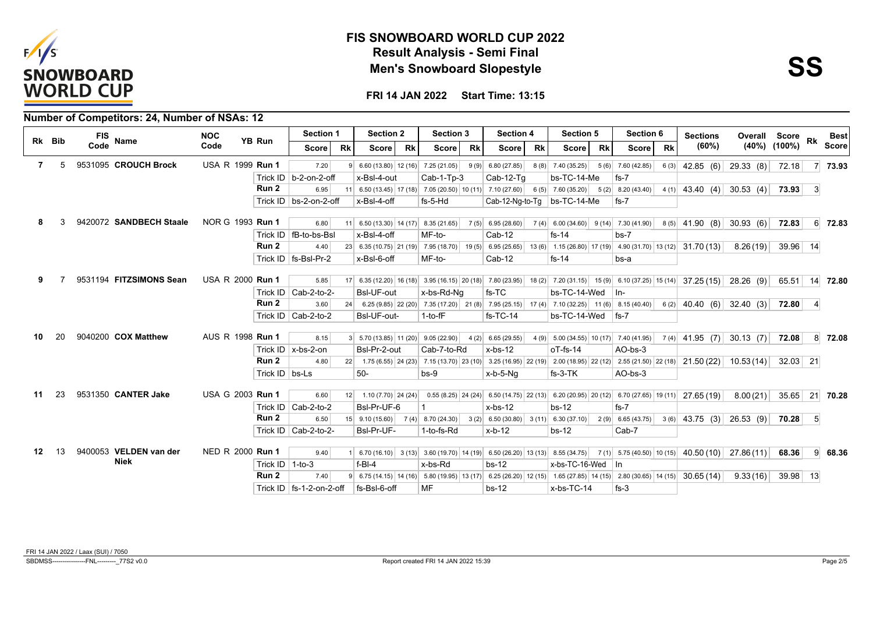



|                  |        | Number of Competitors: 24, Number of NSAs: 12 |                         |                         |                                                      |           |                                                        |           |                                                                                                                                                                        |           |                     |           |                                        |           |           |           |                                                                   |               |                    |                |                 |
|------------------|--------|-----------------------------------------------|-------------------------|-------------------------|------------------------------------------------------|-----------|--------------------------------------------------------|-----------|------------------------------------------------------------------------------------------------------------------------------------------------------------------------|-----------|---------------------|-----------|----------------------------------------|-----------|-----------|-----------|-------------------------------------------------------------------|---------------|--------------------|----------------|-----------------|
|                  | Rk Bib | <b>FIS</b><br><b>Name</b>                     | <b>NOC</b>              | YB Run                  | Section 1                                            |           | <b>Section 2</b>                                       |           | <b>Section 3</b>                                                                                                                                                       |           | <b>Section 4</b>    |           | Section 5                              |           | Section 6 |           | <b>Sections</b>                                                   | Overall Score |                    | Rk             | <b>Best</b>     |
|                  |        | Code                                          | Code                    |                         | Score                                                | <b>Rk</b> | <b>Score</b>                                           | <b>Rk</b> | Score                                                                                                                                                                  | <b>Rk</b> | Score               | <b>Rk</b> | Score                                  | <b>Rk</b> | Score l   | <b>Rk</b> | (60%)                                                             |               | $(40\%)$ $(100\%)$ |                | <b>Score</b>    |
| 7                | 5      | 9531095 CROUCH Brock                          | USA R 1999 Run 1        |                         | 7.20                                                 |           | $9   6.60 (13.80)   12 (16)   7.25 (21.05)  $          |           |                                                                                                                                                                        | 9(9)      | 6.80(27.85)         |           | $8(8)$ 7.40 (35.25) 5 (6) 7.60 (42.85) |           |           |           | $6(3)$ 42.85 (6) 29.33 (8)                                        |               | 72.18              | 7 <sup>1</sup> | 73.93           |
|                  |        |                                               |                         |                         | Trick ID   b-2-on-2-off                              |           | x-Bsl-4-out                                            |           | Cab-1-Tp-3                                                                                                                                                             |           | $Cab-12-Tq$         |           | bs-TC-14-Me                            |           | $fs-7$    |           |                                                                   |               |                    |                |                 |
|                  |        |                                               |                         | Run 2                   | 6.95                                                 |           |                                                        |           | 11 6.50 (13.45) 17 (18) 7.05 (20.50) 10 (11) 7.10 (27.60) 6 (5) 7.60 (35.20) 5 (2) 8.20 (43.40)                                                                        |           |                     |           |                                        |           |           |           | $4(1)$ 43.40 (4) 30.53 (4) 73.93                                  |               |                    | $\vert$ 3      |                 |
|                  |        |                                               |                         |                         | Trick ID $ $ bs-2-on-2-off                           |           | x-Bsl-4-off                                            |           | fs-5-Hd                                                                                                                                                                |           |                     |           | Cab-12-Ng-to-Tg $ $ bs-TC-14-Me        |           | $fs-7$    |           |                                                                   |               |                    |                |                 |
| 8                |        | 9420072 SANDBECH Staale                       | NOR G 1993 <b>Run 1</b> |                         | 6.80                                                 |           | 11 6.50 (13.30) 14 (17) 8.35 (21.65)                   |           |                                                                                                                                                                        |           | $7(5)$ 6.95 (28.60) |           |                                        |           |           |           | $7(4)$ 6.00 (34.60) 9 (14) 7.30 (41.90) 8 (5) 41.90 (8) 30.93 (6) |               | 72.83              |                | 6 72.83         |
|                  |        |                                               |                         |                         | Trick ID   fB-to-bs-Bsl                              |           | x-Bsl-4-off                                            |           | MF-to-                                                                                                                                                                 |           | $Cab-12$            |           | $fs-14$                                |           | $bs-7$    |           |                                                                   |               |                    |                |                 |
|                  |        |                                               |                         | Run <sub>2</sub>        | 4.40                                                 |           |                                                        |           | 23 6.35 (10.75) 21 (19) 7.95 (18.70) 19 (5) 6.95 (25.65) 13 (6) 1.15 (26.80) 17 (19) 4.90 (31.70) 13 (12) 31.70 (13)                                                   |           |                     |           |                                        |           |           |           |                                                                   | 8.26(19)      | $39.96$ 14         |                |                 |
|                  |        |                                               |                         |                         | Trick ID   fs-BsI-Pr-2                               |           | x-Bsl-6-off                                            |           | MF-to-                                                                                                                                                                 |           | $Cab-12$            |           | $fs-14$                                |           | bs-a      |           |                                                                   |               |                    |                |                 |
| 9                |        | 9531194 FITZSIMONS Sean                       | USA R 2000 Run 1        |                         | 5.85                                                 |           |                                                        |           | 17 6.35 (12.20) 16 (18) 3.95 (16.15) 20 (18) 7.80 (23.95) 18 (2) 7.20 (31.15) 15 (9) 6.10 (37.25) 15 (14) 37.25 (15) 28.26 (9)                                         |           |                     |           |                                        |           |           |           |                                                                   |               | 65.51 14 72.80     |                |                 |
|                  |        |                                               |                         |                         | Trick ID   Cab-2-to-2-                               |           | <b>BsI-UF-out</b>                                      |           | x-bs-Rd-Ng                                                                                                                                                             |           | fs-TC               |           | $bs-TC-14-Wed$ In-                     |           |           |           |                                                                   |               |                    |                |                 |
|                  |        |                                               |                         | Run 2                   | 3.60                                                 |           |                                                        |           | 24 6.25 (9.85) 22 (20) 7.35 (17.20) 21 (8) 7.95 (25.15) 17 (4) 7.10 (32.25) 11 (6) 8.15 (40.40) 6 (2) 40.40 (6) 32.40 (3)                                              |           |                     |           |                                        |           |           |           |                                                                   |               | 72.80              |                |                 |
|                  |        |                                               |                         |                         | Trick ID   Cab-2-to-2                                |           | BsI-UF-out-                                            |           | $1-to$ -f $F$                                                                                                                                                          |           | $fs-TC-14$          |           | $bs-TC-14-Wed$   fs-7                  |           |           |           |                                                                   |               |                    |                |                 |
| 10               | 20     | 9040200 COX Matthew                           | AUS R 1998 Run 1        |                         | 8.15                                                 |           | $3 \mid 5.70(13.85) \mid 11(20) \mid 9.05(22.90) \mid$ |           |                                                                                                                                                                        |           | $4(2)$ 6.65 (29.55) |           |                                        |           |           |           |                                                                   |               | 72.08              |                | $8 \mid 72.08$  |
|                  |        |                                               |                         |                         | Trick ID $\vert x\text{-}\text{bs-}2\text{-}on\vert$ |           | Bsl-Pr-2-out                                           |           | Cab-7-to-Rd                                                                                                                                                            |           | $x$ -bs-12          |           | $oT-fs-14$                             |           | AO-bs-3   |           |                                                                   |               |                    |                |                 |
|                  |        |                                               |                         | Run 2                   | 4.80                                                 |           |                                                        |           |                                                                                                                                                                        |           |                     |           |                                        |           |           |           |                                                                   |               | $32.03$ 21         |                |                 |
|                  |        |                                               |                         | Trick $ID$ bs-Ls        |                                                      |           | $50-$                                                  |           | 22 1.75 (6.55) 24 (23) 7.15 (13.70) 23 (10) 3.25 (16.95) 22 (19) 2.00 (18.95) 22 (12) 2.55 (21.50) 22 (18) 21.50 (22) 10.53 (14)<br>$bs-9$                             |           | x-b-5-Ng            |           | $fs-3-TK$                              |           | AO-bs-3   |           |                                                                   |               |                    |                |                 |
|                  |        |                                               |                         |                         |                                                      |           |                                                        |           |                                                                                                                                                                        |           |                     |           |                                        |           |           |           |                                                                   |               |                    |                |                 |
| 11               | 23     | 9531350 CANTER Jake                           | USA G 2003 Run 1        |                         | 6.60                                                 | 12        | $1.10(7.70)$ 24 (24)                                   |           | $0.55(8.25)$ 24 (24) 6.50 (14.75) 22 (13) 6.20 (20.95) 20 (12) 6.70 (27.65) 19 (11) 27.65 (19)                                                                         |           |                     |           |                                        |           |           |           |                                                                   | 8.00(21)      | 35.65 21 70.28     |                |                 |
|                  |        |                                               |                         |                         | Trick ID $\vert$ Cab-2-to-2                          |           | BsI-Pr-UF-6                                            |           |                                                                                                                                                                        |           | $x$ -bs-12          |           | $bs-12$                                |           | $fs-7$    |           |                                                                   |               |                    |                |                 |
|                  |        |                                               |                         | Run 2                   | 6.50                                                 |           |                                                        |           | 15 9.10 (15.60) 7 (4) 8.70 (24.30) 3 (2) 6.50 (30.80) 3 (11) 6.30 (37.10) 2 (9) 6.65 (43.75 3 (6) 43.75 (3) 26.53 (9) 70.28                                            |           |                     |           |                                        |           |           |           |                                                                   |               |                    | -5             |                 |
|                  |        |                                               |                         |                         | Trick ID $ $ Cab-2-to-2-                             |           | BsI-Pr-UF-                                             |           | 1-to-fs-Rd                                                                                                                                                             |           | $x-b-12$            |           | $bs-12$                                |           | Cab-7     |           |                                                                   |               |                    |                |                 |
| 12 <sup>12</sup> | 13     | 9400053 VELDEN van der                        | NED R 2000 Run 1        |                         | 9.40                                                 |           |                                                        |           | $1\begin{pmatrix} 6.70(16.10) & 3(13) & 3.60(19.70) & 14(19) & 6.50(26.20) & 13(13) & 8.55(34.75) & 7(1) & 5.75(40.50) & 10(15) & 40.50(10) & 27.86(11) \end{pmatrix}$ |           |                     |           |                                        |           |           |           |                                                                   |               | 68.36              |                | $9 \quad 68.36$ |
|                  |        | <b>Niek</b>                                   |                         | Trick ID $\vert$ 1-to-3 |                                                      |           | $f-BI-4$                                               |           | x-bs-Rd                                                                                                                                                                |           | $bs-12$             |           | $x$ -bs-TC-16-Wed   In                 |           |           |           |                                                                   |               |                    |                |                 |
|                  |        |                                               |                         | Run 2                   | 7.40                                                 |           |                                                        |           | 9 6.75 (14.15) 14 (16) 5.80 (19.95) 13 (17) 6.25 (26.20) 12 (15) 1.65 (27.85) 14 (15) 2.80 (30.65) 14 (15) 30.65 (14)                                                  |           |                     |           |                                        |           |           |           |                                                                   | 9.33(16)      | $39.98$ 13         |                |                 |
|                  |        |                                               |                         |                         | Trick ID   fs-1-2-on-2-off                           |           | l fs-Bsl-6-off                                         |           | <b>MF</b>                                                                                                                                                              |           | $bs-12$             |           | x-bs-TC-14                             |           | $fs-3$    |           |                                                                   |               |                    |                |                 |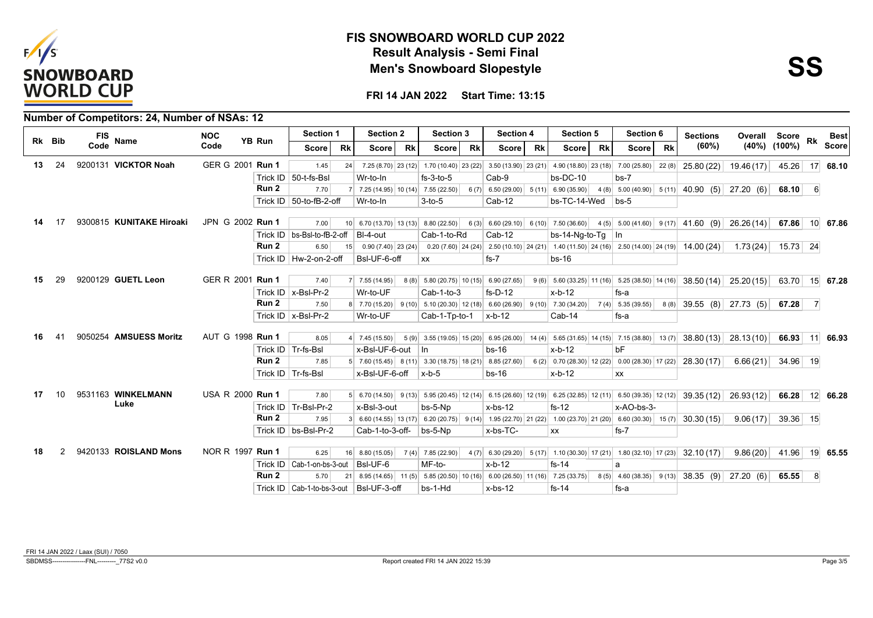



|     |        |            | <b>Number of Competitors: 24, Number of NSAs: 12</b> |                  |               |                                             |           |                                                    |           |                                                                                    |           |                                                                                                                                                                                                                                                                                               |                                                                        |           |                     |           |                                                 |               |                    |                 |              |
|-----|--------|------------|------------------------------------------------------|------------------|---------------|---------------------------------------------|-----------|----------------------------------------------------|-----------|------------------------------------------------------------------------------------|-----------|-----------------------------------------------------------------------------------------------------------------------------------------------------------------------------------------------------------------------------------------------------------------------------------------------|------------------------------------------------------------------------|-----------|---------------------|-----------|-------------------------------------------------|---------------|--------------------|-----------------|--------------|
|     | Rk Bib | <b>FIS</b> | <b>Name</b>                                          | <b>NOC</b>       | <b>YB Run</b> | Section 1                                   |           | <b>Section 2</b>                                   |           | <b>Section 3</b>                                                                   |           | <b>Section 4</b>                                                                                                                                                                                                                                                                              | <b>Section 5</b>                                                       |           | Section 6           |           | <b>Sections</b>                                 | Overall Score |                    | Rk              | <b>Best</b>  |
|     |        | Code       |                                                      | Code             |               | <b>Score</b>                                | <b>Rk</b> | <b>Score</b>                                       | <b>Rk</b> | Score                                                                              | <b>Rk</b> | <b>Rk</b><br><b>Score</b>                                                                                                                                                                                                                                                                     | Score                                                                  | <b>Rk</b> | <b>Score</b>        | <b>Rk</b> | (60%)                                           |               | $(40\%)$ $(100\%)$ |                 | <b>Score</b> |
| 13  | 24     |            | 9200131 VICKTOR Noah                                 | GER G 2001 Run 1 |               | 1.45                                        | 24        |                                                    |           |                                                                                    |           | 7.25 (8.70) 23 (12) 1.70 (10.40) 23 (22) 3.50 (13.90) 23 (21) 4.90 (18.80) 23 (18) 7.00 (25.80)                                                                                                                                                                                               |                                                                        |           |                     | 22(8)     | 25.80(22)                                       | 19.46(17)     | 45.26              | 17 <sup>1</sup> | 68.10        |
|     |        |            |                                                      |                  |               | Trick ID   50-t-fs-Bsl                      |           | Wr-to-In                                           |           | $fs-3-to-5$                                                                        |           | Cab-9                                                                                                                                                                                                                                                                                         | $bs-DC-10$                                                             |           | $bs-7$              |           |                                                 |               |                    |                 |              |
|     |        |            |                                                      |                  | Run 2         | 7.70                                        |           |                                                    |           | $7 \mid 7.25(14.95) \mid 10(14) \mid 7.55(22.50) \mid$                             |           | $6(7)$ 6.50 (29.00) 5 (11) 6.90 (35.90)                                                                                                                                                                                                                                                       |                                                                        |           |                     |           | $4(8)$ 5.00 (40.90) 5 (11) 40.90 (5) 27.20 (6)  |               | 68.10              | -6              |              |
|     |        |            |                                                      |                  |               | Trick ID $\vert$ 50-to-fB-2-off             |           | Wr-to-In                                           |           | $3-to-5$                                                                           |           | Cab-12                                                                                                                                                                                                                                                                                        | bs-TC-14-Wed                                                           |           | $bs-5$              |           |                                                 |               |                    |                 |              |
| 14  | 17     |            | 9300815 KUNITAKE Hiroaki                             | JPN G 2002 Run 1 |               | 7.00                                        |           |                                                    |           |                                                                                    |           |                                                                                                                                                                                                                                                                                               |                                                                        |           |                     |           |                                                 |               |                    |                 |              |
|     |        |            |                                                      |                  |               | Trick ID $ $ bs-BsI-to-fB-2-off             |           | $10$ 6.70 (13.70) 13 (13) 8.80 (22.50)<br>BI-4-out |           | Cab-1-to-Rd                                                                        |           | $6(3)$ 6.60 (29.10) 6 (10) 7.50 (36.60) 4 (5) 5.00 (41.60) 9 (17) 41.60 (9) 26.26 (14)<br>Cab-12                                                                                                                                                                                              | $bs-14-Nq-to-Tq$ In                                                    |           |                     |           |                                                 |               | 67.86              |                 | 10 67.86     |
|     |        |            |                                                      |                  | Run 2         | 6.50                                        |           | $0.90(7.40)$ 23 (24)                               |           |                                                                                    |           | 0.20 (7.60) $\begin{vmatrix} 24 & 24 \end{vmatrix}$ 2.50 (10.10) 24 (21) 1.40 (11.50) 24 (16) 2.50 (14.00) 24 (19) 14.00 (24)                                                                                                                                                                 |                                                                        |           |                     |           |                                                 | 1.73(24)      | $15.73$ 24         |                 |              |
|     |        |            |                                                      |                  |               | Trick ID   Hw-2-on-2-off                    | 15        | BsI-UF-6-off                                       |           | <b>XX</b>                                                                          |           | $fs-7$                                                                                                                                                                                                                                                                                        | $bs-16$                                                                |           |                     |           |                                                 |               |                    |                 |              |
|     |        |            |                                                      |                  |               |                                             |           |                                                    |           |                                                                                    |           |                                                                                                                                                                                                                                                                                               |                                                                        |           |                     |           |                                                 |               |                    |                 |              |
|     |        |            | 9200129 GUETL Leon                                   | GER R 2001 Run 1 |               | 7.40                                        |           | $7$ 7.55 (14.95)                                   |           | $8(8)$ 5.80 (20.75) 10 (15) 6.90 (27.65)                                           |           |                                                                                                                                                                                                                                                                                               | $9(6)$ 5.60 (33.25) 11 (16) 5.25 (38.50) 14 (16) 38.50 (14) 25.20 (15) |           |                     |           |                                                 |               | 63.70 15 67.28     |                 |              |
|     |        |            |                                                      |                  |               | Trick ID   x-BsI-Pr-2                       |           | Wr-to-UF                                           |           | $Cab-1-to-3$                                                                       |           | $fs-D-12$                                                                                                                                                                                                                                                                                     | $x-b-12$                                                               |           | fs-a                |           |                                                 |               |                    |                 |              |
|     |        |            |                                                      |                  | Run 2         | 7.50                                        |           |                                                    |           |                                                                                    |           | 8 7.70 (15.20) 9 (10) 5.10 (20.30) 12 (18) 6.60 (26.90) 9 (10) 7.30 (34.20)                                                                                                                                                                                                                   |                                                                        |           | $7(4)$ 5.35 (39.55) |           | $8(8)$ 39.55 $(8)$ 27.73 $(5)$                  |               | 67.28              | $\overline{7}$  |              |
|     |        |            |                                                      |                  |               | Trick $ID \mid x-BsI-Pr-2$                  |           | Wr-to-UF                                           |           | Cab-1-Tp-to-1                                                                      |           | $x-b-12$                                                                                                                                                                                                                                                                                      | Cab-14                                                                 |           | fs-a                |           |                                                 |               |                    |                 |              |
|     |        |            |                                                      |                  |               |                                             |           |                                                    |           |                                                                                    |           |                                                                                                                                                                                                                                                                                               |                                                                        |           |                     |           |                                                 |               |                    |                 |              |
|     |        |            | 9050254 AMSUESS Moritz                               | AUT G 1998 Run 1 |               | 8.05                                        |           | $4 \mid 7.45(15.50)$                               |           |                                                                                    |           | 5 (9) 3.55 (19.05) 15 (20) 6.95 (26.00) 14 (4) 5.65 (31.65) 14 (15) 7.15 (38.80) 13 (7) 38.80 (13) 28.13 (10)                                                                                                                                                                                 |                                                                        |           |                     |           |                                                 |               | 66.93 11 66.93     |                 |              |
|     |        |            |                                                      |                  |               | Trick ID   Tr-fs-Bsl                        |           | x-Bsl-UF-6-out In                                  |           |                                                                                    |           | $bs-16$                                                                                                                                                                                                                                                                                       | $x-b-12$                                                               |           | bF                  |           |                                                 |               |                    |                 |              |
|     |        |            |                                                      |                  | Run 2         | 7.85                                        |           |                                                    |           | $5 \mid 7.60(15.45) \mid 8(11) \mid 3.30(18.75) \mid 18(21) \mid 8.85(27.60) \mid$ |           |                                                                                                                                                                                                                                                                                               | $6(2)$ 0.70 (28.30) 12 (22) 0.00 (28.30) 17 (22) 28.30 (17)            |           |                     |           |                                                 | 6.66(21)      | $34.96$ 19         |                 |              |
|     |        |            |                                                      |                  |               | Trick ID   Tr-fs-Bsl                        |           | x-Bsl-UF-6-off                                     |           | $\vert$ x-b-5                                                                      |           | $bs-16$                                                                                                                                                                                                                                                                                       | $x-b-12$                                                               |           | <b>XX</b>           |           |                                                 |               |                    |                 |              |
| 17. | 10     |            | 9531163 WINKELMANN                                   | USA R 2000 Run 1 |               | 7.80                                        |           |                                                    |           |                                                                                    |           | $5\begin{pmatrix} 6.70 \ (14.50) & 9 \ (13) & 5.95 \ (20.45) & 12 \ (14) & 6.15 \ (26.60) & 12 \ (19) & 6.25 \ (32.85) & 12 \ (11) & 6.50 \ (39.35) & 12 \ (12) & 39.35 \ (12) & 26.93 \ (12) & 20.93 \ (12) & 21.04 \ (12) & 22.04 \ (12) & 23.05 \ (12) & 24.06 \ (12) & 25.07 \ (12) & 26$ |                                                                        |           |                     |           |                                                 |               | 66.28              |                 | 12 66.28     |
|     |        |            | Luke                                                 |                  |               | Trick ID   Tr-BsI-Pr-2                      |           | x-Bsl-3-out                                        |           | bs-5-Np                                                                            |           | $x$ -bs-12                                                                                                                                                                                                                                                                                    | $fs-12$                                                                |           | x-AO-bs-3-          |           |                                                 |               |                    |                 |              |
|     |        |            |                                                      |                  | Run 2         | 7.95                                        |           |                                                    |           |                                                                                    |           | $3\begin{pmatrix} 6.60 & (14.55) & 13 & (17) & 6.20 & (20.75) & 9 & (14) & 1.95 & (22.70) & 21 & (22) & 1.00 & (23.70) & 21 & (20) & 6.60 & (30.30) & 15 & (7) & 30.30 & (15) \end{pmatrix}$                                                                                                  |                                                                        |           |                     |           |                                                 | 9.06(17)      | 39.36 15           |                 |              |
|     |        |            |                                                      |                  |               | Trick ID   bs-BsI-Pr-2                      |           | Cab-1-to-3-off-                                    |           | $bs-5-Np$                                                                          |           | x-bs-TC-                                                                                                                                                                                                                                                                                      | <b>XX</b>                                                              |           | $fs-7$              |           |                                                 |               |                    |                 |              |
|     |        |            |                                                      |                  |               |                                             |           |                                                    |           |                                                                                    |           |                                                                                                                                                                                                                                                                                               |                                                                        |           |                     |           |                                                 |               |                    |                 |              |
| 18  |        |            | 9420133 ROISLAND Mons                                | NOR R 1997 Run 1 |               | 6.25                                        |           | $16$ 8.80 (15.05)                                  |           | $7(4)$ 7.85 (22.90)                                                                |           | 4 (7) 6.30 (29.20) 5 (17) 1.10 (30.30) 17 (21) 1.80 (32.10) 17 (23) 32.10 (17)                                                                                                                                                                                                                |                                                                        |           |                     |           |                                                 | 9.86(20)      | 41.96              |                 | 19 65.55     |
|     |        |            |                                                      |                  |               | Trick ID   Cab-1-on-bs-3-out                |           | BsI-UF-6                                           |           | MF-to-                                                                             |           | $x-b-12$                                                                                                                                                                                                                                                                                      | $fs-14$                                                                |           | a                   |           |                                                 |               |                    |                 |              |
|     |        |            |                                                      |                  | Run 2         | 5.70                                        | 21        |                                                    |           |                                                                                    |           | $8.95(14.65)$ 11 (5) 5.85 (20.50) 10 (16) 6.00 (26.50) 11 (16) 7.25 (33.75)                                                                                                                                                                                                                   |                                                                        |           |                     |           | $8(5)$ 4.60 (38.35) $9(13)$ 38.35 (9) 27.20 (6) |               | 65.55              | -8              |              |
|     |        |            |                                                      |                  |               | Trick ID   Cab-1-to-bs-3-out   BsI-UF-3-off |           |                                                    |           | bs-1-Hd                                                                            |           | $x-bs-12$                                                                                                                                                                                                                                                                                     | $fs-14$                                                                |           | fs-a                |           |                                                 |               |                    |                 |              |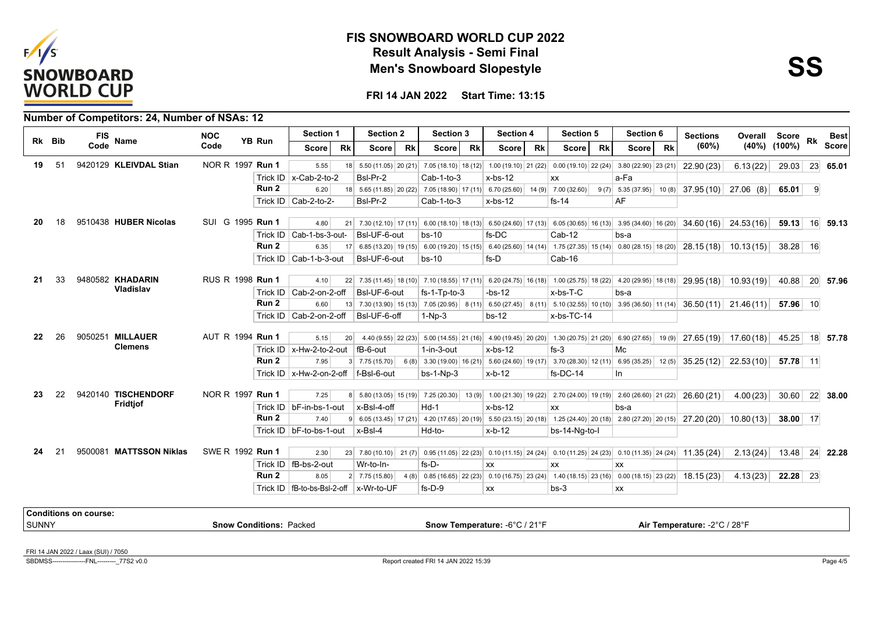



**FRI 14 JAN 2022 Start Time: 13:15**

|       |        |                              | Number of Competitors: 24, Number of NSAs: 12 |                  |                                |                                          |                 |                           |           |                   |           |                               |           |                                                                                                                                             |           |                                                                                                             |           |                                                                                                                       |           |                    |                |                 |
|-------|--------|------------------------------|-----------------------------------------------|------------------|--------------------------------|------------------------------------------|-----------------|---------------------------|-----------|-------------------|-----------|-------------------------------|-----------|---------------------------------------------------------------------------------------------------------------------------------------------|-----------|-------------------------------------------------------------------------------------------------------------|-----------|-----------------------------------------------------------------------------------------------------------------------|-----------|--------------------|----------------|-----------------|
|       | Rk Bib | <b>FIS</b>                   | Name                                          | <b>NOC</b>       | <b>YB Run</b>                  | <b>Section 1</b>                         |                 | <b>Section 2</b>          |           | <b>Section 3</b>  |           | Section 4                     |           | <b>Section 5</b>                                                                                                                            |           | Section 6                                                                                                   |           | <b>Sections</b>                                                                                                       | Overall   | <b>Score</b>       | <b>Rk</b>      | <b>Best</b>     |
|       |        | Code                         |                                               | Code             |                                | <b>Score</b>                             | <b>Rk</b>       | <b>Score</b>              | <b>Rk</b> | <b>Score</b>      | <b>Rk</b> | <b>Score</b>                  | <b>Rk</b> | <b>Score</b>                                                                                                                                | <b>Rk</b> | <b>Score</b>                                                                                                | <b>Rk</b> | (60%)                                                                                                                 |           | $(40\%)$ $(100\%)$ |                | <b>Score</b>    |
| 19    | 51     |                              | 9420129 KLEIVDAL Stian                        | NOR R 1997 Run 1 |                                | 5.55                                     |                 |                           |           |                   |           |                               |           |                                                                                                                                             |           | 18 5.50 (11.05) 20 (21) 7.05 (18.10) 18 (12) 1.00 (19.10) 21 (22) 0.00 (19.10) 22 (24) 3.80 (22.90) 23 (21) |           | 22.90 (23)                                                                                                            | 6.13(22)  | 29.03              | 23             | 65.01           |
|       |        |                              |                                               |                  |                                | Trick ID $x$ -Cab-2-to-2                 |                 | Bsl-Pr-2                  |           | $Cab-1-to-3$      |           | $x$ -bs-12                    |           | XX                                                                                                                                          |           | a-Fa                                                                                                        |           |                                                                                                                       |           |                    |                |                 |
|       |        |                              |                                               |                  | Run 2                          | 6.20                                     |                 |                           |           |                   |           |                               |           | 18 5.65 (11.85) 20 (22) 7.05 (18.90) 17 (11) 6.70 (25.60) 14 (9) 7.00 (32.60)                                                               |           | $9(7)$ 5.35 (37.95)                                                                                         | 10(8)     | $37.95(10)$ 27.06 (8)                                                                                                 |           | 65.01              | $\overline{9}$ |                 |
|       |        |                              |                                               |                  |                                | Trick ID   Cab-2-to-2-                   |                 | Bsl-Pr-2                  |           | Cab-1-to-3        |           | $x$ -bs-12                    |           | $fs-14$                                                                                                                                     |           | AF                                                                                                          |           |                                                                                                                       |           |                    |                |                 |
|       |        |                              | 9510438 HUBER Nicolas                         | SUI G 1995 Run 1 |                                |                                          |                 |                           |           |                   |           |                               |           |                                                                                                                                             |           |                                                                                                             |           |                                                                                                                       |           |                    |                |                 |
|       | 18     |                              |                                               |                  |                                | 4.80                                     |                 |                           |           |                   |           |                               |           |                                                                                                                                             |           | 21 7.30 (12.10) 17 (11) 6.00 (18.10) 18 (13) 6.50 (24.60) 17 (13) 6.05 (30.65) 16 (13) 3.95 (34.60) 16 (20) |           | $34.60(16)$ 24.53(16)                                                                                                 |           | 59.13              |                | 16 59.13        |
|       |        |                              |                                               |                  |                                | Trick ID   Cab-1-bs-3-out-               |                 | BsI-UF-6-out              |           | $bs-10$           |           | $fs-DC$                       |           | $Cab-12$                                                                                                                                    |           | bs-a                                                                                                        |           |                                                                                                                       |           |                    |                |                 |
|       |        |                              |                                               |                  | Run 2                          | 6.35                                     | 17              |                           |           |                   |           |                               |           |                                                                                                                                             |           | 6.85 (13.20) 19 (15) 6.00 (19.20) 15 (15) 6.40 (25.60) 14 (14) 1.75 (27.35) 15 (14) 0.80 (28.15) 18 (20)    |           | $28.15(18)$ 10.13(15)                                                                                                 |           | $38.28$ 16         |                |                 |
|       |        |                              |                                               |                  |                                | Trick ID   Cab-1-b-3-out                 |                 | BsI-UF-6-out              |           | $bs-10$           |           | fs-D                          |           | Cab-16                                                                                                                                      |           |                                                                                                             |           |                                                                                                                       |           |                    |                |                 |
| 21    | 33     |                              | 9480582 KHADARIN                              | RUS R 1998 Run 1 |                                | 4.10                                     |                 |                           |           |                   |           |                               |           |                                                                                                                                             |           | 22 7.35 (11.45) 18 (10) 7.10 (18.55) 17 (11) 6.20 (24.75) 16 (18) 1.00 (25.75) 18 (22) 4.20 (29.95) 18 (18) |           | 29.95(18)                                                                                                             | 10.93(19) | 40.88              |                | 20 57.96        |
|       |        |                              | Vladislav                                     |                  |                                | Trick ID   Cab-2-on-2-off                |                 | BsI-UF-6-out              |           | $fs-1-Tp-to-3$    |           | $-bs-12$                      |           | $x$ -bs-T-C                                                                                                                                 |           | bs-a                                                                                                        |           |                                                                                                                       |           |                    |                |                 |
|       |        |                              |                                               |                  | Run <sub>2</sub>               | 6.60                                     |                 |                           |           |                   |           |                               |           |                                                                                                                                             |           | 13 7.30 (13.90) 15 (13) 7.05 (20.95) 8 (11) 6.50 (27.45) 8 (11) 5.10 (32.55) 10 (10) 3.95 (36.50) 11 (14)   |           | $36.50(11)$ 21.46(11)                                                                                                 |           | 57.96 10           |                |                 |
|       |        |                              |                                               |                  |                                | Trick ID   Cab-2-on-2-off                |                 | BsI-UF-6-off              |           | $1-Np-3$          |           | $bs-12$                       |           | x-bs-TC-14                                                                                                                                  |           |                                                                                                             |           |                                                                                                                       |           |                    |                |                 |
| 22    | 26     |                              | 9050251 MILLAUER                              | AUT R 1994 Run 1 |                                | 5.15                                     | 20 <sup>1</sup> |                           |           |                   |           |                               |           | 4.40 (9.55) 22 (23) 5.00 (14.55) 21 (16) 4.90 (19.45) 20 (20) 1.30 (20.75) 21 (20) 6.90 (27.65)                                             |           |                                                                                                             | 19(9)     | $27.65(19)$ 17.60(18)                                                                                                 |           | 45.25              |                | 18 57.78        |
|       |        |                              | <b>Clemens</b>                                |                  |                                | Trick ID $x$ -Hw-2-to-2-out              |                 | fB-6-out                  |           | $1$ -in- $3$ -out |           | $x$ -bs-12                    |           | $fs-3$                                                                                                                                      |           | Mc                                                                                                          |           |                                                                                                                       |           |                    |                |                 |
|       |        |                              |                                               |                  | Run 2                          | 7.95                                     |                 |                           |           |                   |           |                               |           | $3 \mid 7.75(15.70) \mid 6(8) \mid 3.30(19.00) \mid 16(21) \mid 5.60(24.60) \mid 19(17) \mid 3.70(28.30) \mid 12(11) \mid 6.95(35.25) \mid$ |           |                                                                                                             | 12(5)     | 35.25(12)                                                                                                             | 22.53(10) | 57.78 11           |                |                 |
|       |        |                              |                                               |                  |                                | Trick ID   x-Hw-2-on-2-off   f-BsI-6-out |                 |                           |           | $bs-1-Np-3$       |           | $x-b-12$                      |           | fs-DC-14                                                                                                                                    |           | In                                                                                                          |           |                                                                                                                       |           |                    |                |                 |
|       |        |                              |                                               |                  |                                |                                          |                 |                           |           |                   |           |                               |           |                                                                                                                                             |           |                                                                                                             |           |                                                                                                                       |           |                    |                |                 |
| 23    | 22     |                              | 9420140 TISCHENDORF                           | NOR R 1997 Run 1 |                                | 7.25                                     |                 |                           |           |                   |           |                               |           |                                                                                                                                             |           | 8 5.80 (13.05) 15 (19) 7.25 (20.30) 13 (9) 1.00 (21.30) 19 (22) 2.70 (24.00) 19 (19) 2.60 (26.60) 21 (22)   |           | 26.60(21)                                                                                                             | 4.00(23)  | 30.60              |                | $22 \mid 38.00$ |
|       |        |                              | Fridtjof                                      |                  |                                | Trick ID   bF-in-bs-1-out                |                 | x-Bsl-4-off               |           | $Hd-1$            |           | $x$ -bs-12                    |           | <b>XX</b>                                                                                                                                   |           | bs-a                                                                                                        |           |                                                                                                                       |           |                    |                |                 |
|       |        |                              |                                               |                  | Run 2                          | 7.40                                     |                 |                           |           |                   |           |                               |           |                                                                                                                                             |           | 9 6.05 (13.45) 17 (21) 4.20 (17.65) 20 (19) 5.50 (23.15) 20 (18) 1.25 (24.40) 20 (18) 2.80 (27.20) 20 (15)  |           | 27.20(20)                                                                                                             | 10.80(13) | 38.00 17           |                |                 |
|       |        |                              |                                               |                  |                                | Trick ID   bF-to-bs-1-out                |                 | x-Bsl-4                   |           | Hd-to-            |           | $x-b-12$                      |           | bs-14-Ng-to-I                                                                                                                               |           |                                                                                                             |           |                                                                                                                       |           |                    |                |                 |
|       |        |                              |                                               |                  |                                |                                          |                 |                           |           |                   |           |                               |           |                                                                                                                                             |           |                                                                                                             |           |                                                                                                                       |           |                    |                |                 |
| 24    | 21     |                              | 9500081 MATTSSON Niklas                       | SWE R 1992 Run 1 |                                | 2.30                                     |                 |                           |           |                   |           |                               |           |                                                                                                                                             |           |                                                                                                             |           | 23 7.80 (10.10) 21 (7) 0.95 (11.05) 22 (23) 0.10 (11.15) 24 (24) 0.10 (11.25) 24 (23) 0.10 (11.35) 24 (24) 11.35 (24) | 2.13(24)  | 13.48              |                | 24 22.28        |
|       |        |                              |                                               |                  |                                | Trick ID   fB-bs-2-out                   |                 | Wr-to-In-                 |           | $fs-D-$           |           | <b>XX</b>                     |           | XX                                                                                                                                          |           | <b>XX</b>                                                                                                   |           |                                                                                                                       |           |                    |                |                 |
|       |        |                              |                                               |                  | Run <sub>2</sub>               | 8.05                                     |                 | $2 \mid 7.75(15.80) \mid$ |           |                   |           |                               |           |                                                                                                                                             |           |                                                                                                             |           | 18.15(23)                                                                                                             | 4.13(23)  | $22.28$ 23         |                |                 |
|       |        |                              |                                               |                  |                                | Trick ID $ $ fB-to-bs-BsI-2-off          |                 | x-Wr-to-UF                |           | $fs-D-9$          |           | XX                            |           | $bs-3$                                                                                                                                      |           | XX                                                                                                          |           |                                                                                                                       |           |                    |                |                 |
|       |        | <b>Conditions on course:</b> |                                               |                  |                                |                                          |                 |                           |           |                   |           |                               |           |                                                                                                                                             |           |                                                                                                             |           |                                                                                                                       |           |                    |                |                 |
| SUNNY |        |                              |                                               |                  | <b>Snow Conditions: Packed</b> |                                          |                 |                           |           |                   |           | Snow Temperature: -6°C / 21°F |           |                                                                                                                                             |           |                                                                                                             |           | Air Temperature: -2°C / 28°F                                                                                          |           |                    |                |                 |
|       |        |                              |                                               |                  |                                |                                          |                 |                           |           |                   |           |                               |           |                                                                                                                                             |           |                                                                                                             |           |                                                                                                                       |           |                    |                |                 |
|       |        |                              |                                               |                  |                                |                                          |                 |                           |           |                   |           |                               |           |                                                                                                                                             |           |                                                                                                             |           |                                                                                                                       |           |                    |                |                 |

FRI 14 JAN 2022 / Laax (SUI) / 7050